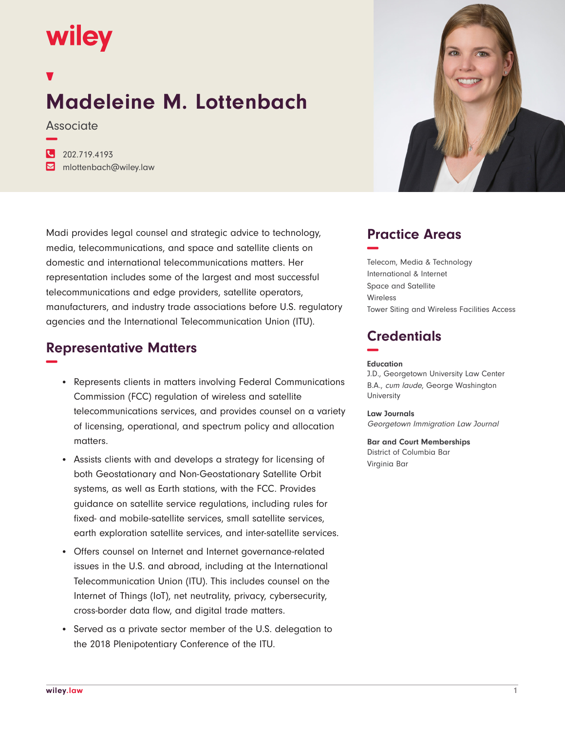# wiley

## **Madeleine M. Lottenbach**

**Associate −**

**�** 202.719.4193 **�** mlottenbach@wiley.law

Madi provides legal counsel and strategic advice to technology, media, telecommunications, and space and satellite clients on domestic and international telecommunications matters. Her representation includes some of the largest and most successful telecommunications and edge providers, satellite operators, manufacturers, and industry trade associations before U.S. regulatory agencies and the International Telecommunication Union (ITU).

#### **Representative Matters −**

- Represents clients in matters involving Federal Communications Commission (FCC) regulation of wireless and satellite telecommunications services, and provides counsel on a variety of licensing, operational, and spectrum policy and allocation matters.
- Assists clients with and develops a strategy for licensing of both Geostationary and Non-Geostationary Satellite Orbit systems, as well as Earth stations, with the FCC. Provides guidance on satellite service regulations, including rules for fixed- and mobile-satellite services, small satellite services, earth exploration satellite services, and inter-satellite services.
- Offers counsel on Internet and Internet governance-related issues in the U.S. and abroad, including at the International Telecommunication Union (ITU). This includes counsel on the Internet of Things (IoT), net neutrality, privacy, cybersecurity, cross-border data flow, and digital trade matters.
- Served as a private sector member of the U.S. delegation to the 2018 Plenipotentiary Conference of the ITU.



### **Practice Areas −**

Telecom, Media & Technology International & Internet Space and Satellite Wireless Tower Siting and Wireless Facilities Access

#### **Credentials −**

#### **Education**

J.D., Georgetown University Law Center B.A., cum laude, George Washington **University** 

**Law Journals** Georgetown Immigration Law Journal

**Bar and Court Memberships** District of Columbia Bar Virginia Bar